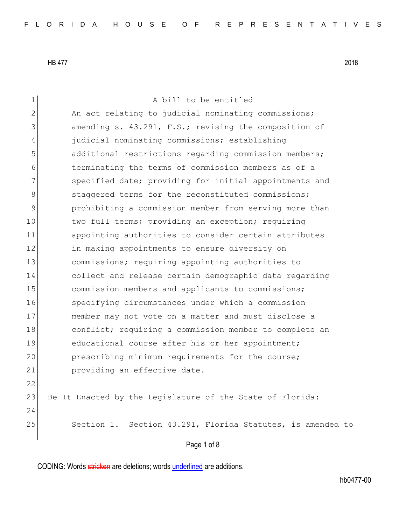Page 1 of 8 1 a bill to be entitled 2 An act relating to judicial nominating commissions; 3 amending s. 43.291, F.S.; revising the composition of 4 judicial nominating commissions; establishing 5 5 additional restrictions regarding commission members; 6 terminating the terms of commission members as of a 7 Specified date; providing for initial appointments and 8 staggered terms for the reconstituted commissions; 9 **prohibiting a commission member from serving more than** 10 two full terms; providing an exception; requiring 11 appointing authorities to consider certain attributes 12 in making appointments to ensure diversity on 13 commissions; requiring appointing authorities to 14 collect and release certain demographic data regarding 15 **commission members and applicants to commissions;** 16 specifying circumstances under which a commission 17 member may not vote on a matter and must disclose a 18 conflict; requiring a commission member to complete an 19 educational course after his or her appointment; 20 prescribing minimum requirements for the course; 21 **providing an effective date.** 22 23 Be It Enacted by the Legislature of the State of Florida: 24 25 Section 1. Section 43.291, Florida Statutes, is amended to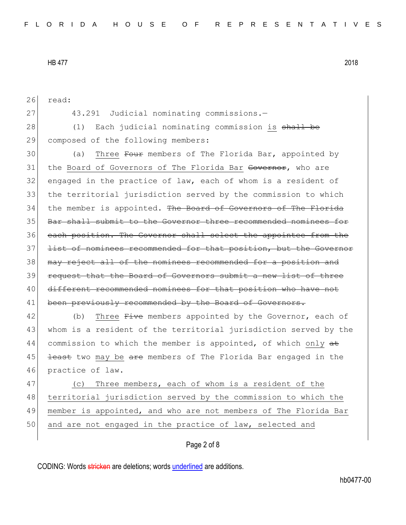Page 2 of 8 26 read: 27 43.291 Judicial nominating commissions.— 28 (1) Each judicial nominating commission is shall be 29 composed of the following members: 30 (a) Three Four members of The Florida Bar, appointed by 31 the Board of Governors of The Florida Bar <del>Governor</del>, who are  $32$  engaged in the practice of law, each of whom is a resident of 33 the territorial jurisdiction served by the commission to which 34 the member is appointed. The Board of Governors of The Florida 35 Bar shall submit to the Governor three recommended nominees for 36 each position. The Governor shall select the appointee from the 37 <del>list of nominees recommended for that position, but the Governor</del> 38 may reject all of the nominees recommended for a position and 39 request that the Board of Governors submit a new list of three 40 different recommended nominees for that position who have not 41 been previously recommended by the Board of Governors. 42 (b) Three <del>Five</del> members appointed by the Governor, each of 43 whom is a resident of the territorial jurisdiction served by the 44 commission to which the member is appointed, of which only  $a\pm$ 45 <del>least</del> two may be are members of The Florida Bar engaged in the 46 practice of law. 47 (c) Three members, each of whom is a resident of the 48 territorial jurisdiction served by the commission to which the 49 member is appointed, and who are not members of The Florida Bar 50 and are not engaged in the practice of law, selected and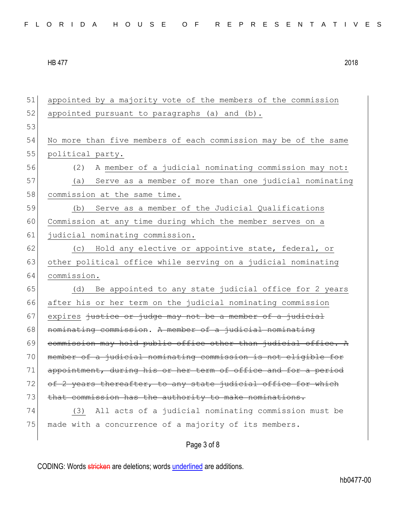| 51 | appointed by a majority vote of the members of the commission   |
|----|-----------------------------------------------------------------|
| 52 | appointed pursuant to paragraphs (a) and (b).                   |
| 53 |                                                                 |
| 54 | No more than five members of each commission may be of the same |
| 55 | political party.                                                |
| 56 | A member of a judicial nominating commission may not:<br>(2)    |
| 57 | Serve as a member of more than one judicial nominating<br>(a)   |
| 58 | commission at the same time.                                    |
| 59 | Serve as a member of the Judicial Qualifications<br>(b)         |
| 60 | Commission at any time during which the member serves on a      |
| 61 | judicial nominating commission.                                 |
| 62 | Hold any elective or appointive state, federal, or<br>(C)       |
| 63 | other political office while serving on a judicial nominating   |
| 64 | commission.                                                     |
| 65 | Be appointed to any state judicial office for 2 years<br>(d)    |
| 66 | after his or her term on the judicial nominating commission     |
| 67 | expires justice or judge may not be a member of a judicial      |
| 68 | nominating commission. A member of a judicial nominating        |
| 69 | commission may hold public office other than judicial office. A |
| 70 | member of a judicial nominating commission is not eligible for  |
| 71 | appointment, during his or her term of office and for a period  |
| 72 | of 2 years thereafter, to any state judicial office for which   |
| 73 | that commission has the authority to make nominations.          |
| 74 | All acts of a judicial nominating commission must be<br>(3)     |
| 75 |                                                                 |
|    | made with a concurrence of a majority of its members.           |

## Page 3 of 8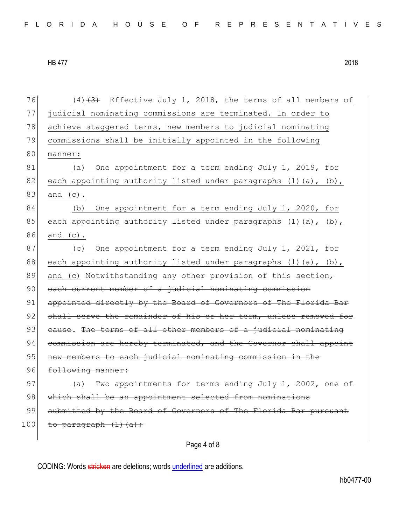| 76  | $(4)$ $(3)$ Effective July 1, 2018, the terms of all members of         |
|-----|-------------------------------------------------------------------------|
| 77  | judicial nominating commissions are terminated. In order to             |
| 78  | achieve staggered terms, new members to judicial nominating             |
| 79  | commissions shall be initially appointed in the following               |
| 80  | manner:                                                                 |
| 81  | One appointment for a term ending July 1, 2019, for<br>(a)              |
| 82  | each appointing authority listed under paragraphs (1)(a), (b),          |
| 83  | and $(c)$ .                                                             |
| 84  | (b)<br>One appointment for a term ending July 1, 2020, for              |
| 85  | each appointing authority listed under paragraphs (1)(a), (b),          |
| 86  | and $(c)$ .                                                             |
| 87  | One appointment for a term ending July 1, 2021, for<br>(C)              |
| 88  | each appointing authority listed under paragraphs $(1)$ $(a)$ , $(b)$ , |
| 89  | and (c) Notwithstanding any other provision of this section,            |
| 90  | each current member of a judicial nominating commission                 |
| 91  | appointed directly by the Board of Governors of The Florida Bar         |
| 92  | shall serve the remainder of his or her term, unless removed for        |
| 93  | eause. The terms of all other members of a judicial nominating          |
| 94  | commission are hereby terminated, and the Governor shall appoint        |
| 95  | new members to each judicial nominating commission in the               |
| 96  | following manner:                                                       |
| 97  | (a) Two appointments for terms ending July 1, 2002, one of              |
| 98  | which shall be an appointment selected from nominations                 |
| 99  | submitted by the Board of Governors of The Florida Bar pursuant         |
| 100 | to paragraph (1) (a) ;                                                  |
|     |                                                                         |

Page 4 of 8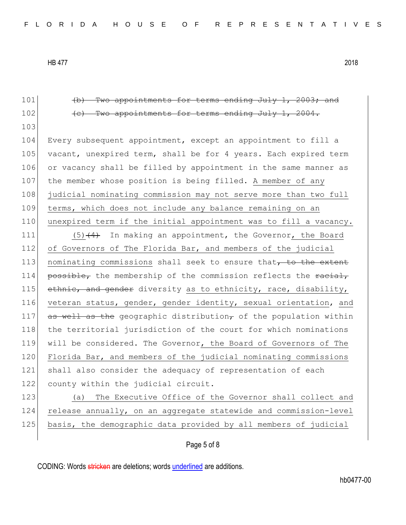101 (b) Two appointments for terms ending July 1, 2003; and 102 **(c)** Two appointments for terms ending July 1, 2004. 103 104 Every subsequent appointment, except an appointment to fill a 105 vacant, unexpired term, shall be for 4 years. Each expired term 106 or vacancy shall be filled by appointment in the same manner as 107 the member whose position is being filled. A member of any 108 judicial nominating commission may not serve more than two full 109 terms, which does not include any balance remaining on an 110 unexpired term if the initial appointment was to fill a vacancy. 111  $(5)$   $(4)$  In making an appointment, the Governor, the Board 112 of Governors of The Florida Bar, and members of the judicial 113 nominating commissions shall seek to ensure that, to the extent 114 **possible,** the membership of the commission reflects the  $\frac{1}{10}$ 115 ethnic, and gender diversity as to ethnicity, race, disability, 116 veteran status, gender, gender identity, sexual orientation, and 117 as well as the geographic distribution, of the population within 118 the territorial jurisdiction of the court for which nominations 119 will be considered. The Governor, the Board of Governors of The 120 Florida Bar, and members of the judicial nominating commissions 121 shall also consider the adequacy of representation of each 122 county within the judicial circuit. 123 (a) The Executive Office of the Governor shall collect and 124 release annually, on an aggregate statewide and commission-level 125 basis, the demographic data provided by all members of judicial

## Page 5 of 8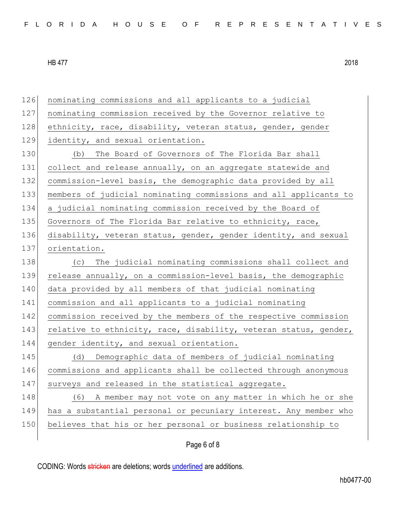| 126 | nominating commissions and all applicants to a judicial          |
|-----|------------------------------------------------------------------|
| 127 | nominating commission received by the Governor relative to       |
| 128 | ethnicity, race, disability, veteran status, gender, gender      |
| 129 | identity, and sexual orientation.                                |
| 130 | The Board of Governors of The Florida Bar shall<br>(b)           |
| 131 | collect and release annually, on an aggregate statewide and      |
| 132 | commission-level basis, the demographic data provided by all     |
| 133 | members of judicial nominating commissions and all applicants to |
| 134 | a judicial nominating commission received by the Board of        |
| 135 | Governors of The Florida Bar relative to ethnicity, race,        |
| 136 | disability, veteran status, gender, gender identity, and sexual  |
| 137 | orientation.                                                     |
| 138 | (c) The judicial nominating commissions shall collect and        |
| 139 | release annually, on a commission-level basis, the demographic   |
| 140 | data provided by all members of that judicial nominating         |
| 141 | commission and all applicants to a judicial nominating           |
| 142 | commission received by the members of the respective commission  |
| 143 | relative to ethnicity, race, disability, veteran status, gender, |
| 144 | gender identity, and sexual orientation.                         |
| 145 | Demographic data of members of judicial nominating<br>(d)        |
| 146 | commissions and applicants shall be collected through anonymous  |
| 147 | surveys and released in the statistical aggregate.               |
| 148 | A member may not vote on any matter in which he or she<br>(6)    |
| 149 | has a substantial personal or pecuniary interest. Any member who |
| 150 | believes that his or her personal or business relationship to    |
|     |                                                                  |

## Page 6 of 8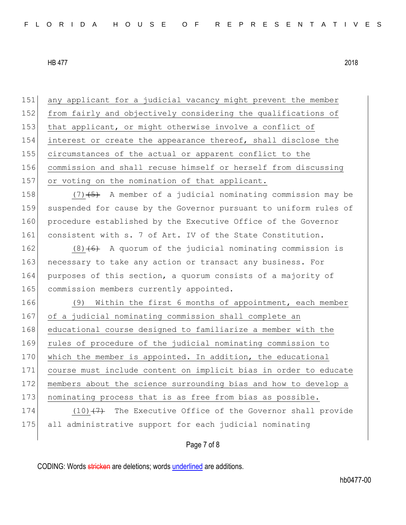151 any applicant for a judicial vacancy might prevent the member 152 from fairly and objectively considering the qualifications of 153 that applicant, or might otherwise involve a conflict of 154 interest or create the appearance thereof, shall disclose the 155 circumstances of the actual or apparent conflict to the 156 commission and shall recuse himself or herself from discussing 157 or voting on the nomination of that applicant. 158  $(7)$   $(5)$  A member of a judicial nominating commission may be 159 suspended for cause by the Governor pursuant to uniform rules of 160 procedure established by the Executive Office of the Governor 161 consistent with s. 7 of Art. IV of the State Constitution. 162  $(8)$  (6) A quorum of the judicial nominating commission is 163 necessary to take any action or transact any business. For 164 purposes of this section, a quorum consists of a majority of 165 commission members currently appointed. 166 (9) Within the first 6 months of appointment, each member 167 of a judicial nominating commission shall complete an 168 educational course designed to familiarize a member with the 169 rules of procedure of the judicial nominating commission to 170 which the member is appointed. In addition, the educational 171 course must include content on implicit bias in order to educate 172 members about the science surrounding bias and how to develop a 173 nominating process that is as free from bias as possible. 174  $(10)$   $(7)$  The Executive Office of the Governor shall provide 175 all administrative support for each judicial nominating

Page 7 of 8